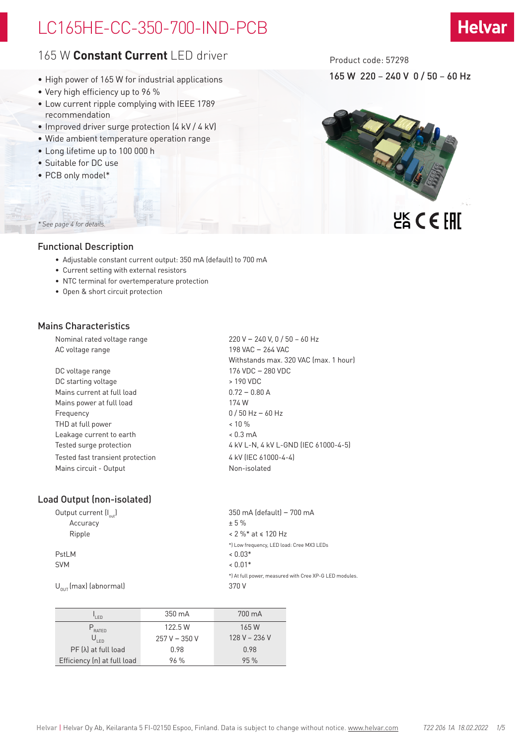# LC165HE-CC-350-700-IND-PCB



## 165 W **Constant Current** LED driver

- High power of 165 W for industrial applications
- Very high efficiency up to 96 %
- Low current ripple complying with IEEE 1789 recommendation
- Improved driver surge protection (4 kV / 4 kV)
- Wide ambient temperature operation range
- Long lifetime up to 100 000 h
- Suitable for DC use
- PCB only model\*

Product code: 57298

165 W 220 – 240 V 0 / 50 – 60 Hz



## *\* See page 4 for details.*

## Functional Description

- Adjustable constant current output: 350 mA (default) to 700 mA
- Current setting with external resistors
- NTC terminal for overtemperature protection
- Open & short circuit protection

### Mains Characteristics

Nominal rated voltage range 220 V – 240 V, 0 / 50 – 60 Hz AC voltage range 198 VAC – 264 VAC Withstands max. 320 VAC (max. 1 hour) DC voltage range 176 VDC – 280 VDC DC starting voltage  $\rightarrow$  190 VDC Mains current at full load 0.72 – 0.80 A Mains power at full load 174 W Frequency 0 / 50 Hz – 60 Hz THD at full power  $\sim$  10 % Leakage current to earth < 0.3 mA Tested surge protection  $4 kV L-N$ ,  $4 kV L-SND$  (IEC 61000-4-5) Tested fast transient protection 4 kV (IEC 61000-4-4) Mains circuit - Output Non-isolated

## Load Output (non-isolated)

| Output current $\left[\begin{smallmatrix} 1 \\ 0 \end{smallmatrix}\right]$ | 350 mA (default) - 700 mA                             |
|----------------------------------------------------------------------------|-------------------------------------------------------|
| Accuracy                                                                   | ± 5%                                                  |
| Ripple                                                                     | $< 2 \%$ * at $\le 120$ Hz                            |
|                                                                            | *) Low frequency, LED load: Cree MX3 LEDs             |
| PstLM                                                                      | $< 0.03*$                                             |
| <b>SVM</b>                                                                 | $< 0.01*$                                             |
|                                                                            | *) At full power, measured with Cree XP-G LED modules |
| $U_{\text{out}}$ (max) (abnormal)                                          | 370 V                                                 |

| I FD                        | 350 mA        | 700 mA        |
|-----------------------------|---------------|---------------|
| $P_{\text{RATED}}$          | 122.5 W       | 165 W         |
| 'I FD                       | $257V - 350V$ | 128 V - 236 V |
| $PF(\lambda)$ at full load  | 0.98          | 0.98          |
| Efficiency (n) at full load | 96%           | 95%           |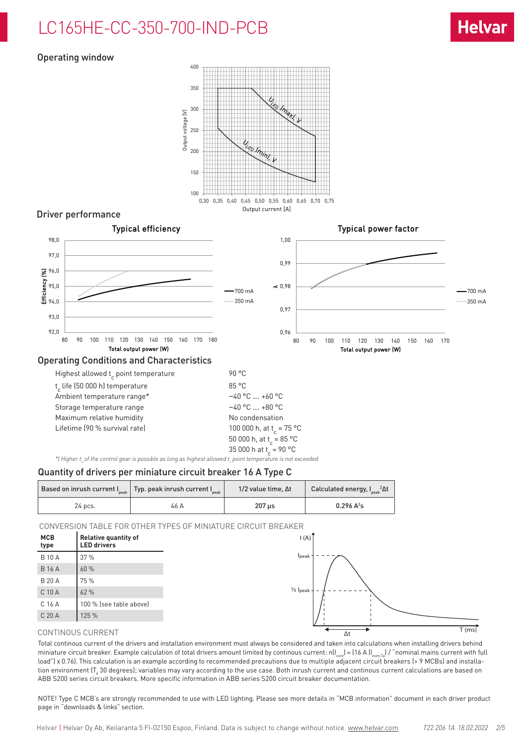# LC165HE-CC-350-700-IND-PCB

## Operating window



## Driver performance



35 000 h at t<sub>c</sub> = 90 °C \*) Higher t<sub>a</sub> of the control gear is possible as long as highest allowed t<sub>c</sub> point temperature is not exceeded

#### Quantity of drivers per miniature circuit breaker 16 A Type C

|         | Based on inrush current $ $ <sub>peak</sub>   Typ. peak inrush current $ $ <sub>peak</sub> | $1/2$ value time. $\Delta t$ | Calculated energy, $I_{\rm peak}^2 \Delta t$ |  |
|---------|--------------------------------------------------------------------------------------------|------------------------------|----------------------------------------------|--|
| 24 pcs. | 46 A                                                                                       | 207 us                       | $0.296 A^2s$                                 |  |

CONVERSION TABLE FOR OTHER TYPES OF MINIATURE CIRCUIT BREAKER



#### CONTINOUS CURRENT

Total continous current of the drivers and installation environment must always be considered and taken into calculations when installing drivers behind miniature circuit breaker. Example calculation of total drivers amount limited by continous current:  $n(I_{\text{conf}}) = (16 \text{ A } (I_{\text{norm,Ta}}) / \text{``nominal mains current with full"})$ load") x 0.76). This calculation is an example according to recommended precautions due to multiple adjacent circuit breakers (> 9 MCBs) and installation environment (T $_{\rm a}$  30 degrees); variables may vary according to the use case. Both inrush current and continous current calculations are based on ABB S200 series circuit breakers. More specific information in ABB series S200 circuit breaker documentation.

NOTE! Type C MCB's are strongly recommended to use with LED lighting. Please see more details in "MCB information" document in each driver product page in "downloads & links" section.

Helvar | Helvar Oy Ab, Keilaranta 5 FI-02150 Espoo, Finland. Data is subject to change without notice. www.helvar.com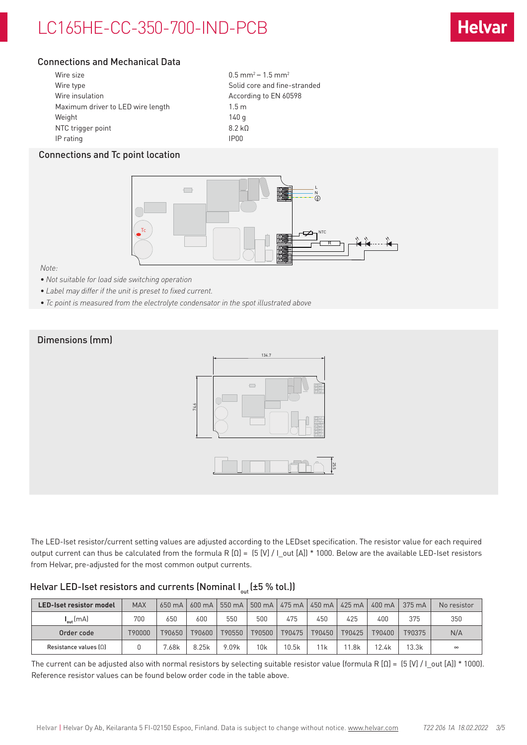# LC165HE-CC-350-700-IND-PCB

## Connections and Mechanical Data

| Wire size                         | $0.5$ mm <sup>2</sup> – 1.5 mm <sup>2</sup> |
|-----------------------------------|---------------------------------------------|
| Wire type                         | Solid core and fine-stranded                |
| Wire insulation                   | According to EN 60598                       |
| Maximum driver to LED wire length | 1.5 <sub>m</sub>                            |
| Weight                            | 140 g                                       |
| NTC trigger point                 | 8.2 k <sub>0</sub>                          |
| IP rating                         | IP <sub>00</sub>                            |

## Connections and Tc point location



*Note:* 

- *• Not suitable for load side switching operation*
- *• Label may differ if the unit is preset to fixed current.*
- *• Tc point is measured from the electrolyte condensator in the spot illustrated above*



The LED-Iset resistor/current setting values are adjusted according to the LEDset specification. The resistor value for each required output current can thus be calculated from the formula R [Ω] = (5 [V] / I\_out [A]) \* 1000. Below are the available LED-Iset resistors from Helvar, pre-adjusted for the most common output currents.

## Helvar LED-Iset resistors and currents (Nominal  $I_{out}$  (±5 % tol.))

| LED-Iset resistor model | <b>MAX</b>    | $650 \text{ mA}$  | $600 \text{ mA}$ | 550 mA | 500 mA | 475 mA | 450 mA | 425 mA | $400 \text{ mA}$ | $375 \text{ mA}$ | No resistor |
|-------------------------|---------------|-------------------|------------------|--------|--------|--------|--------|--------|------------------|------------------|-------------|
| $I_{\text{out}}$ (mA)   | 700           | 650               | 600              | 550    | 500    | 475    | 450    | 425    | 400              | 375              | 350         |
| Order code              | <b>790000</b> | T90650            | T90600           | T90550 | T90500 | T90475 | T90450 | T90425 | T90400           | T90375           | N/A         |
| Resistance values $[0]$ |               | <sup>7</sup> .68k | 8.25k            | 9.09k  | 10k    | 10.5k  | l 1 k  | .8k    | 12.4k            | 13.3k            | $\infty$    |

The current can be adjusted also with normal resistors by selecting suitable resistor value (formula R  $[0] = [5 [V] / [0.01]$  \* 1000). Reference resistor values can be found below order code in the table above.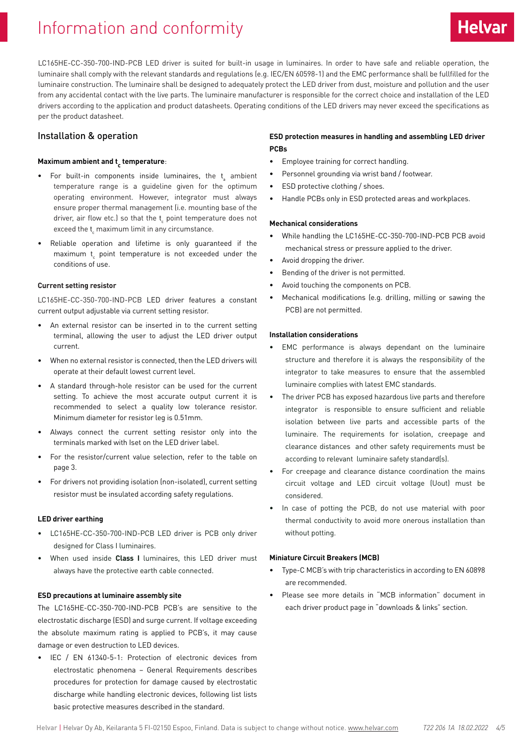# Information and conformity

LC165HE-CC-350-700-IND-PCB LED driver is suited for built-in usage in luminaires. In order to have safe and reliable operation, the luminaire shall comply with the relevant standards and regulations (e.g. IEC/EN 60598-1) and the EMC performance shall be fullfilled for the luminaire construction. The luminaire shall be designed to adequately protect the LED driver from dust, moisture and pollution and the user from any accidental contact with the live parts. The luminaire manufacturer is responsible for the correct choice and installation of the LED drivers according to the application and product datasheets. Operating conditions of the LED drivers may never exceed the specifications as per the product datasheet.

#### Installation & operation

## **Maximum ambient and t c temperature**:

- $\bullet$  For built-in components inside luminaires, the  $t_{\text{\tiny a}}$  ambient temperature range is a guideline given for the optimum operating environment. However, integrator must always ensure proper thermal management (i.e. mounting base of the driver, air flow etc.) so that the t<sub>c</sub> point temperature does not exceed the  $\mathfrak{t}_{\epsilon}$  maximum limit in any circumstance.
- Reliable operation and lifetime is only guaranteed if the maximum  $t_{\rm c}$  point temperature is not exceeded under the conditions of use.

#### **Current setting resistor**

LC165HE-CC-350-700-IND-PCB LED driver features a constant current output adjustable via current setting resistor.

- An external resistor can be inserted in to the current setting terminal, allowing the user to adjust the LED driver output current.
- When no external resistor is connected, then the LED drivers will operate at their default lowest current level.
- A standard through-hole resistor can be used for the current setting. To achieve the most accurate output current it is recommended to select a quality low tolerance resistor. Minimum diameter for resistor leg is 0.51mm.
- Always connect the current setting resistor only into the terminals marked with Iset on the LED driver label.
- For the resistor/current value selection, refer to the table on page 3.
- For drivers not providing isolation (non-isolated), current setting resistor must be insulated according safety regulations.

#### **LED driver earthing**

- LC165HE-CC-350-700-IND-PCB LED driver is PCB only driver designed for Class I luminaires.
- When used inside **Class I** luminaires, this LED driver must always have the protective earth cable connected.

#### **ESD precautions at luminaire assembly site**

The LC165HE-CC-350-700-IND-PCB PCB's are sensitive to the electrostatic discharge (ESD) and surge current. If voltage exceeding the absolute maximum rating is applied to PCB's, it may cause damage or even destruction to LED devices.

• IEC / EN 61340-5-1: Protection of electronic devices from electrostatic phenomena – General Requirements describes procedures for protection for damage caused by electrostatic discharge while handling electronic devices, following list lists basic protective measures described in the standard.

### **ESD protection measures in handling and assembling LED driver PCBs**

- Employee training for correct handling.
- Personnel grounding via wrist band / footwear.
- ESD protective clothing / shoes.
- Handle PCBs only in ESD protected areas and workplaces.

#### **Mechanical considerations**

- While handling the LC165HE-CC-350-700-IND-PCB PCB avoid mechanical stress or pressure applied to the driver.
- Avoid dropping the driver.
- Bending of the driver is not permitted.
- Avoid touching the components on PCB.
- Mechanical modifications (e.g. drilling, milling or sawing the PCB) are not permitted.

#### **Installation considerations**

- EMC performance is always dependant on the luminaire structure and therefore it is always the responsibility of the integrator to take measures to ensure that the assembled luminaire complies with latest EMC standards.
- The driver PCB has exposed hazardous live parts and therefore integrator is responsible to ensure sufficient and reliable isolation between live parts and accessible parts of the luminaire. The requirements for isolation, creepage and clearance distances and other safety requirements must be according to relevant luminaire safety standard(s).
- For creepage and clearance distance coordination the mains circuit voltage and LED circuit voltage (Uout) must be considered.
- In case of potting the PCB, do not use material with poor thermal conductivity to avoid more onerous installation than without potting.

#### **Miniature Circuit Breakers (MCB)**

- Type-C MCB's with trip characteristics in according to EN 60898 are recommended.
- Please see more details in "MCB information" document in each driver product page in "downloads & links" section.